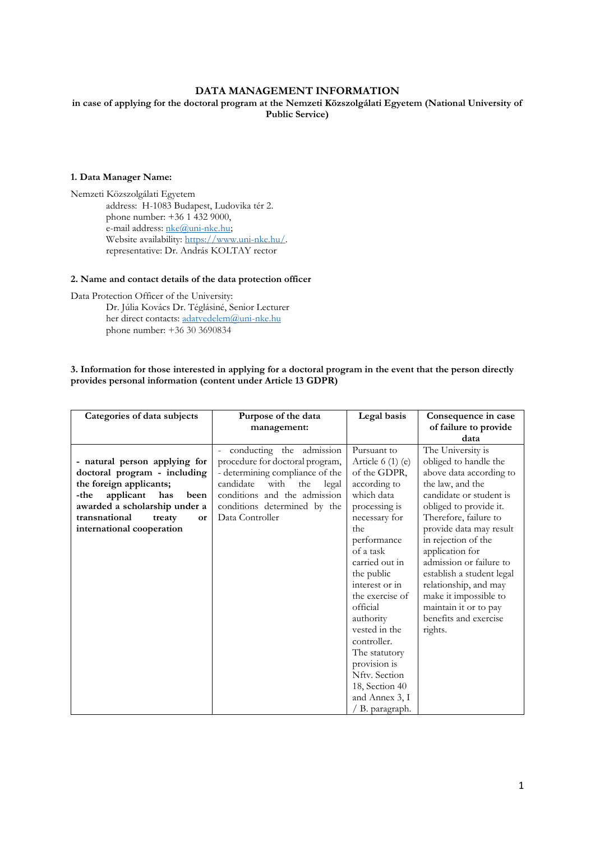# **DATA MANAGEMENT INFORMATION**

**in case of applying for the doctoral program at the Nemzeti Közszolgálati Egyetem (National University of Public Service)**

# **1. Data Manager Name:**

Nemzeti Közszolgálati Egyetem address: H-1083 Budapest, Ludovika tér 2. phone number: +36 1 432 9000, e-mail address: nke@uni-nke.hu; Website availability: [https://www.uni-nke.hu/.](https://www.uni-nke.hu/)  representative: Dr. András KOLTAY rector

# **2. Name and contact details of the data protection officer**

Data Protection Officer of the University:

Dr. Júlia Kovács Dr. Téglásiné, Senior Lecturer her direct contacts: [adatvedelem@uni-nke.hu](mailto:adatvedelem@uni-nke.hu) phone number: +36 30 3690834

# **3. Information for those interested in applying for a doctoral program in the event that the person directly provides personal information (content under Article 13 GDPR)**

| Categories of data subjects                                                                                                                                                                                                 | Purpose of the data<br>management:                                                                                                                                                                                     | Legal basis                                                                                                                                                                                                                                                                                                                                                                              | Consequence in case<br>of failure to provide<br>data                                                                                                                                                                                                                                                                                                                                                                |
|-----------------------------------------------------------------------------------------------------------------------------------------------------------------------------------------------------------------------------|------------------------------------------------------------------------------------------------------------------------------------------------------------------------------------------------------------------------|------------------------------------------------------------------------------------------------------------------------------------------------------------------------------------------------------------------------------------------------------------------------------------------------------------------------------------------------------------------------------------------|---------------------------------------------------------------------------------------------------------------------------------------------------------------------------------------------------------------------------------------------------------------------------------------------------------------------------------------------------------------------------------------------------------------------|
| - natural person applying for<br>doctoral program - including<br>the foreign applicants;<br>applicant<br>has<br>-the<br>been<br>awarded a scholarship under a<br>transnational<br>treaty<br>or<br>international cooperation | conducting the admission<br>procedure for doctoral program,<br>- determining compliance of the<br>with<br>candidate<br>the<br>legal<br>conditions and the admission<br>conditions determined by the<br>Data Controller | Pursuant to<br>Article $6(1)(e)$<br>of the GDPR,<br>according to<br>which data<br>processing is<br>necessary for<br>the<br>performance<br>of a task<br>carried out in<br>the public<br>interest or in<br>the exercise of<br>official<br>authority<br>vested in the<br>controller.<br>The statutory<br>provision is<br>Nfty. Section<br>18, Section 40<br>and Annex 3, I<br>B. paragraph. | The University is<br>obliged to handle the<br>above data according to<br>the law, and the<br>candidate or student is<br>obliged to provide it.<br>Therefore, failure to<br>provide data may result<br>in rejection of the<br>application for<br>admission or failure to<br>establish a student legal<br>relationship, and may<br>make it impossible to<br>maintain it or to pay<br>benefits and exercise<br>rights. |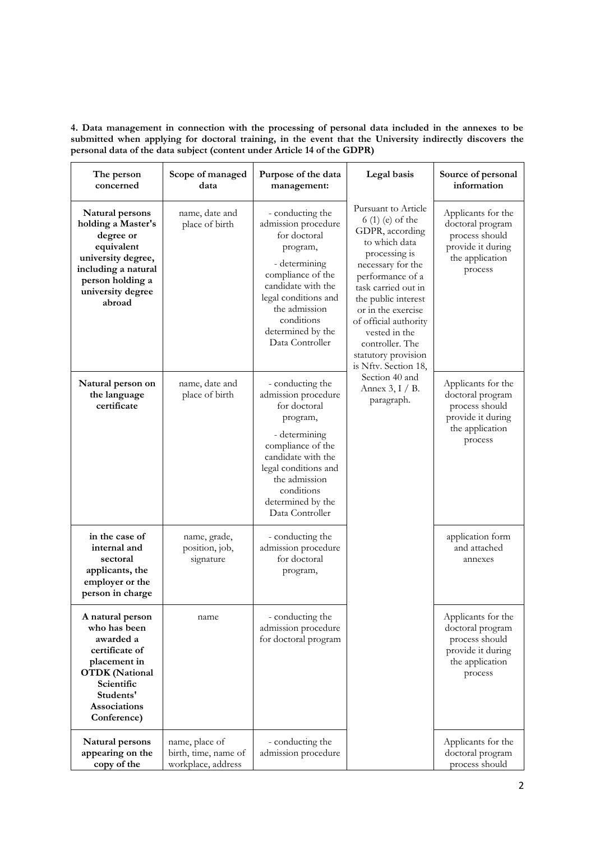**4. Data management in connection with the processing of personal data included in the annexes to be submitted when applying for doctoral training, in the event that the University indirectly discovers the personal data of the data subject (content under Article 14 of the GDPR)**

| The person<br>concerned                                                                                                                                            | Scope of managed<br>data                                     | Purpose of the data<br>management:                                                                                                                                                                                             | Legal basis                                                                                                                                                                                                                                                                                                                                                                 | Source of personal<br>information                                                                           |
|--------------------------------------------------------------------------------------------------------------------------------------------------------------------|--------------------------------------------------------------|--------------------------------------------------------------------------------------------------------------------------------------------------------------------------------------------------------------------------------|-----------------------------------------------------------------------------------------------------------------------------------------------------------------------------------------------------------------------------------------------------------------------------------------------------------------------------------------------------------------------------|-------------------------------------------------------------------------------------------------------------|
| Natural persons<br>holding a Master's<br>degree or<br>equivalent<br>university degree,<br>including a natural<br>person holding a<br>university degree<br>abroad   | name, date and<br>place of birth                             | - conducting the<br>admission procedure<br>for doctoral<br>program,<br>- determining<br>compliance of the<br>candidate with the<br>legal conditions and<br>the admission<br>conditions<br>determined by the<br>Data Controller | Pursuant to Article<br>6 (1) (e) of the<br>GDPR, according<br>to which data<br>processing is<br>necessary for the<br>performance of a<br>task carried out in<br>the public interest<br>or in the exercise<br>of official authority<br>vested in the<br>controller. The<br>statutory provision<br>is Nftv. Section 18,<br>Section 40 and<br>Annex $3, I / B$ .<br>paragraph. | Applicants for the<br>doctoral program<br>process should<br>provide it during<br>the application<br>process |
| Natural person on<br>the language<br>certificate                                                                                                                   | name, date and<br>place of birth                             | - conducting the<br>admission procedure<br>for doctoral<br>program,<br>- determining<br>compliance of the<br>candidate with the<br>legal conditions and<br>the admission<br>conditions<br>determined by the<br>Data Controller |                                                                                                                                                                                                                                                                                                                                                                             | Applicants for the<br>doctoral program<br>process should<br>provide it during<br>the application<br>process |
| in the case of<br>internal and<br>sectoral<br>applicants, the<br>employer or the<br>person in charge                                                               | name, grade,<br>position, job,<br>signature                  | - conducting the<br>admission procedure<br>for doctoral<br>program,                                                                                                                                                            |                                                                                                                                                                                                                                                                                                                                                                             | application form<br>and attached<br>annexes                                                                 |
| A natural person<br>who has been<br>awarded a<br>certificate of<br>placement in<br><b>OTDK</b> (National<br>Scientific<br>Students'<br>Associations<br>Conference) | name                                                         | - conducting the<br>admission procedure<br>for doctoral program                                                                                                                                                                |                                                                                                                                                                                                                                                                                                                                                                             | Applicants for the<br>doctoral program<br>process should<br>provide it during<br>the application<br>process |
| Natural persons<br>appearing on the<br>copy of the                                                                                                                 | name, place of<br>birth, time, name of<br>workplace, address | - conducting the<br>admission procedure                                                                                                                                                                                        |                                                                                                                                                                                                                                                                                                                                                                             | Applicants for the<br>doctoral program<br>process should                                                    |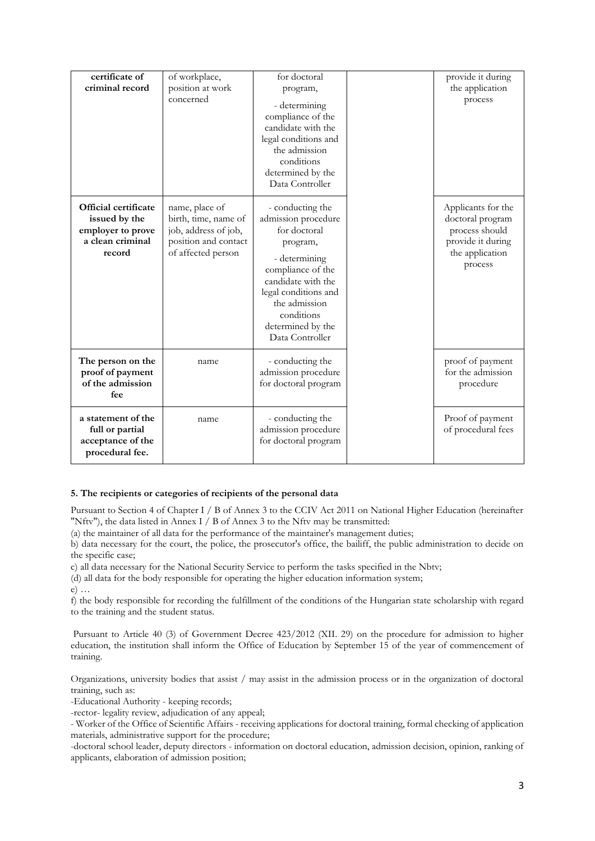| certificate of<br>criminal record                                                               | of workplace,<br>position at work<br>concerned                                                               | for doctoral<br>program,<br>- determining<br>compliance of the<br>candidate with the<br>legal conditions and<br>the admission<br>conditions<br>determined by the<br>Data Controller                                            | provide it during<br>the application<br>process                                                             |
|-------------------------------------------------------------------------------------------------|--------------------------------------------------------------------------------------------------------------|--------------------------------------------------------------------------------------------------------------------------------------------------------------------------------------------------------------------------------|-------------------------------------------------------------------------------------------------------------|
| <b>Official certificate</b><br>issued by the<br>employer to prove<br>a clean criminal<br>record | name, place of<br>birth, time, name of<br>job, address of job,<br>position and contact<br>of affected person | - conducting the<br>admission procedure<br>for doctoral<br>program,<br>- determining<br>compliance of the<br>candidate with the<br>legal conditions and<br>the admission<br>conditions<br>determined by the<br>Data Controller | Applicants for the<br>doctoral program<br>process should<br>provide it during<br>the application<br>process |
| The person on the<br>proof of payment<br>of the admission<br>fee                                | name                                                                                                         | - conducting the<br>admission procedure<br>for doctoral program                                                                                                                                                                | proof of payment<br>for the admission<br>procedure                                                          |
| a statement of the<br>full or partial<br>acceptance of the<br>procedural fee.                   | name                                                                                                         | - conducting the<br>admission procedure<br>for doctoral program                                                                                                                                                                | Proof of payment<br>of procedural fees                                                                      |

# **5. The recipients or categories of recipients of the personal data**

Pursuant to Section 4 of Chapter I / B of Annex 3 to the CCIV Act 2011 on National Higher Education (hereinafter "Nftv"), the data listed in Annex I / B of Annex 3 to the Nftv may be transmitted:

(a) the maintainer of all data for the performance of the maintainer's management duties;

b) data necessary for the court, the police, the prosecutor's office, the bailiff, the public administration to decide on the specific case;

c) all data necessary for the National Security Service to perform the tasks specified in the Nbtv;

(d) all data for the body responsible for operating the higher education information system;

e) …

f) the body responsible for recording the fulfillment of the conditions of the Hungarian state scholarship with regard to the training and the student status.

Pursuant to Article 40 (3) of Government Decree 423/2012 (XII. 29) on the procedure for admission to higher education, the institution shall inform the Office of Education by September 15 of the year of commencement of training.

Organizations, university bodies that assist / may assist in the admission process or in the organization of doctoral training, such as:

-Educational Authority - keeping records;

-rector- legality review, adjudication of any appeal;

- Worker of the Office of Scientific Affairs - receiving applications for doctoral training, formal checking of application materials, administrative support for the procedure;

-doctoral school leader, deputy directors - information on doctoral education, admission decision, opinion, ranking of applicants, elaboration of admission position;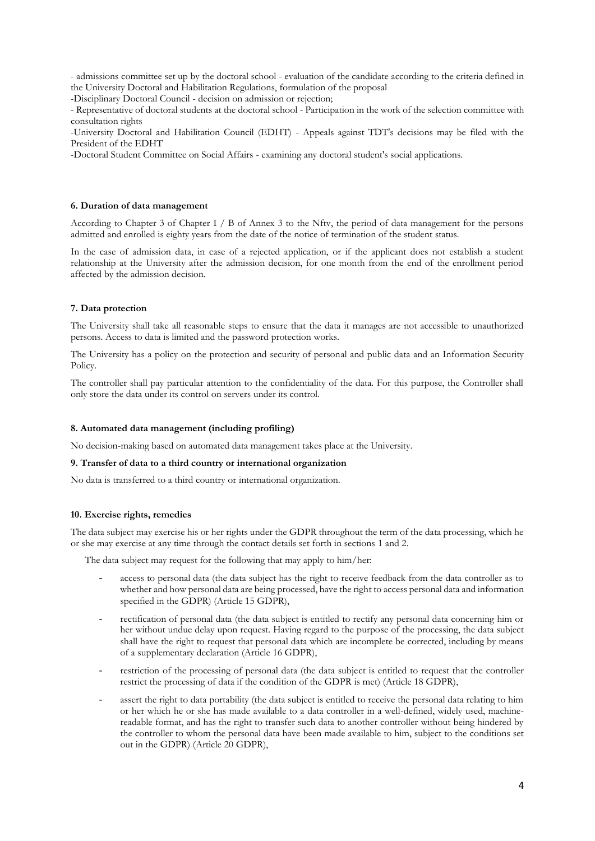- admissions committee set up by the doctoral school - evaluation of the candidate according to the criteria defined in the University Doctoral and Habilitation Regulations, formulation of the proposal

-Disciplinary Doctoral Council - decision on admission or rejection;

- Representative of doctoral students at the doctoral school - Participation in the work of the selection committee with consultation rights

-University Doctoral and Habilitation Council (EDHT) - Appeals against TDT's decisions may be filed with the President of the EDHT

-Doctoral Student Committee on Social Affairs - examining any doctoral student's social applications.

### **6. Duration of data management**

According to Chapter 3 of Chapter I / B of Annex 3 to the Nftv, the period of data management for the persons admitted and enrolled is eighty years from the date of the notice of termination of the student status.

In the case of admission data, in case of a rejected application, or if the applicant does not establish a student relationship at the University after the admission decision, for one month from the end of the enrollment period affected by the admission decision.

### **7. Data protection**

The University shall take all reasonable steps to ensure that the data it manages are not accessible to unauthorized persons. Access to data is limited and the password protection works.

The University has a policy on the protection and security of personal and public data and an Information Security Policy.

The controller shall pay particular attention to the confidentiality of the data. For this purpose, the Controller shall only store the data under its control on servers under its control.

#### **8. Automated data management (including profiling)**

No decision-making based on automated data management takes place at the University.

### **9. Transfer of data to a third country or international organization**

No data is transferred to a third country or international organization.

#### **10. Exercise rights, remedies**

The data subject may exercise his or her rights under the GDPR throughout the term of the data processing, which he or she may exercise at any time through the contact details set forth in sections 1 and 2.

The data subject may request for the following that may apply to him/her:

- access to personal data (the data subject has the right to receive feedback from the data controller as to whether and how personal data are being processed, have the right to access personal data and information specified in the GDPR) (Article 15 GDPR),
- rectification of personal data (the data subject is entitled to rectify any personal data concerning him or her without undue delay upon request. Having regard to the purpose of the processing, the data subject shall have the right to request that personal data which are incomplete be corrected, including by means of a supplementary declaration (Article 16 GDPR),
- restriction of the processing of personal data (the data subject is entitled to request that the controller restrict the processing of data if the condition of the GDPR is met) (Article 18 GDPR),
- assert the right to data portability (the data subject is entitled to receive the personal data relating to him or her which he or she has made available to a data controller in a well-defined, widely used, machinereadable format, and has the right to transfer such data to another controller without being hindered by the controller to whom the personal data have been made available to him, subject to the conditions set out in the GDPR) (Article 20 GDPR),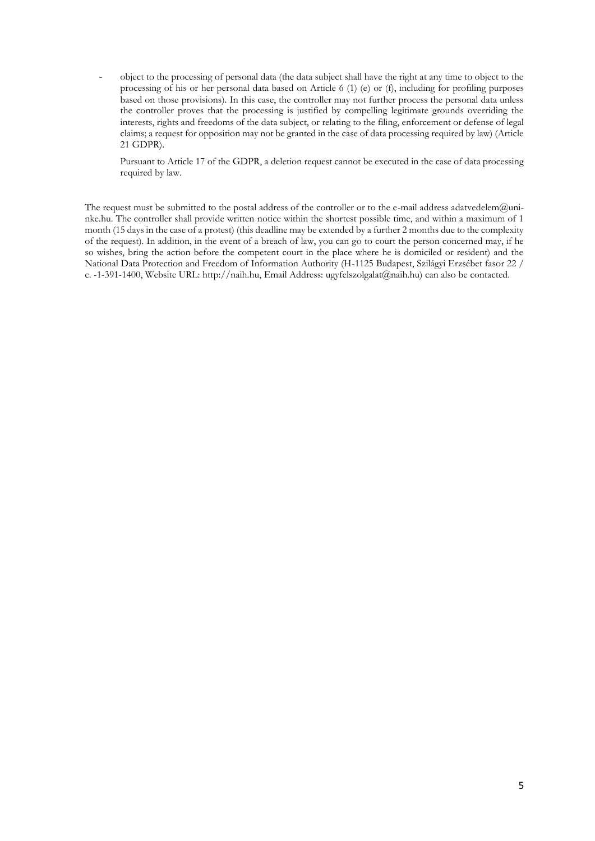- object to the processing of personal data (the data subject shall have the right at any time to object to the processing of his or her personal data based on Article 6 (1) (e) or (f), including for profiling purposes based on those provisions). In this case, the controller may not further process the personal data unless the controller proves that the processing is justified by compelling legitimate grounds overriding the interests, rights and freedoms of the data subject, or relating to the filing, enforcement or defense of legal claims; a request for opposition may not be granted in the case of data processing required by law) (Article 21 GDPR).

Pursuant to Article 17 of the GDPR, a deletion request cannot be executed in the case of data processing required by law.

The request must be submitted to the postal address of the controller or to the e-mail address adatvedelem@uninke.hu. The controller shall provide written notice within the shortest possible time, and within a maximum of 1 month (15 days in the case of a protest) (this deadline may be extended by a further 2 months due to the complexity of the request). In addition, in the event of a breach of law, you can go to court the person concerned may, if he so wishes, bring the action before the competent court in the place where he is domiciled or resident) and the National Data Protection and Freedom of Information Authority (H-1125 Budapest, Szilágyi Erzsébet fasor 22 / c. -1-391-1400, Website URL: http://naih.hu, Email Address: ugyfelszolgalat@naih.hu) can also be contacted.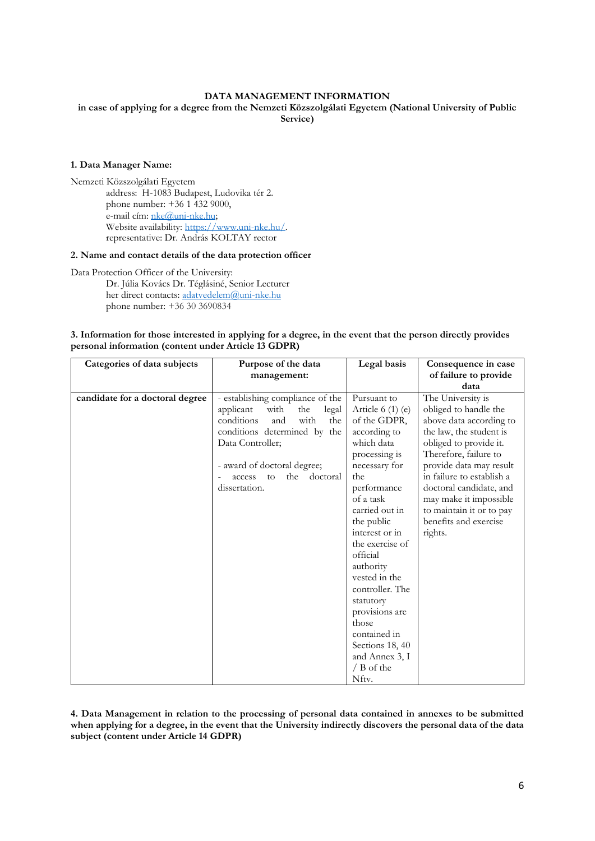# **DATA MANAGEMENT INFORMATION**

**in case of applying for a degree from the Nemzeti Közszolgálati Egyetem (National University of Public Service)**

#### **1. Data Manager Name:**

Nemzeti Közszolgálati Egyetem address: H-1083 Budapest, Ludovika tér 2. phone number: +36 1 432 9000, e-mail cím: [nke@uni-nke.hu;](mailto:nke@uni-nke.hu)  Website availability: [https://www.uni-nke.hu/.](https://www.uni-nke.hu/)  representative: Dr. András KOLTAY rector

#### **2. Name and contact details of the data protection officer**

Data Protection Officer of the University: Dr. Júlia Kovács Dr. Téglásiné, Senior Lecturer her direct contacts: [adatvedelem@uni-nke.hu](mailto:adatvedelem@uni-nke.hu) phone number: +36 30 3690834

# **3. Information for those interested in applying for a degree, in the event that the person directly provides personal information (content under Article 13 GDPR)**

| Categories of data subjects     | Purpose of the data               | Legal basis       | Consequence in case       |
|---------------------------------|-----------------------------------|-------------------|---------------------------|
|                                 | management:                       |                   | of failure to provide     |
|                                 |                                   |                   | data                      |
| candidate for a doctoral degree | - establishing compliance of the  | Pursuant to       | The University is         |
|                                 | applicant<br>with<br>legal<br>the | Article $6(1)(e)$ | obliged to handle the     |
|                                 | conditions<br>with<br>and<br>the  | of the GDPR,      | above data according to   |
|                                 | conditions determined by the      | according to      | the law, the student is   |
|                                 | Data Controller;                  | which data        | obliged to provide it.    |
|                                 |                                   | processing is     | Therefore, failure to     |
|                                 | - award of doctoral degree;       | necessary for     | provide data may result   |
|                                 | the<br>doctoral<br>access<br>to   | the               | in failure to establish a |
|                                 | dissertation.                     | performance       | doctoral candidate, and   |
|                                 |                                   | of a task         | may make it impossible    |
|                                 |                                   | carried out in    | to maintain it or to pay  |
|                                 |                                   | the public        | benefits and exercise     |
|                                 |                                   | interest or in    | rights.                   |
|                                 |                                   | the exercise of   |                           |
|                                 |                                   | official          |                           |
|                                 |                                   | authority         |                           |
|                                 |                                   | vested in the     |                           |
|                                 |                                   | controller. The   |                           |
|                                 |                                   | statutory         |                           |
|                                 |                                   | provisions are    |                           |
|                                 |                                   | those             |                           |
|                                 |                                   | contained in      |                           |
|                                 |                                   | Sections 18, 40   |                           |
|                                 |                                   | and Annex 3, I    |                           |
|                                 |                                   | $/$ B of the      |                           |
|                                 |                                   | Nftv.             |                           |

**4. Data Management in relation to the processing of personal data contained in annexes to be submitted when applying for a degree, in the event that the University indirectly discovers the personal data of the data subject (content under Article 14 GDPR)**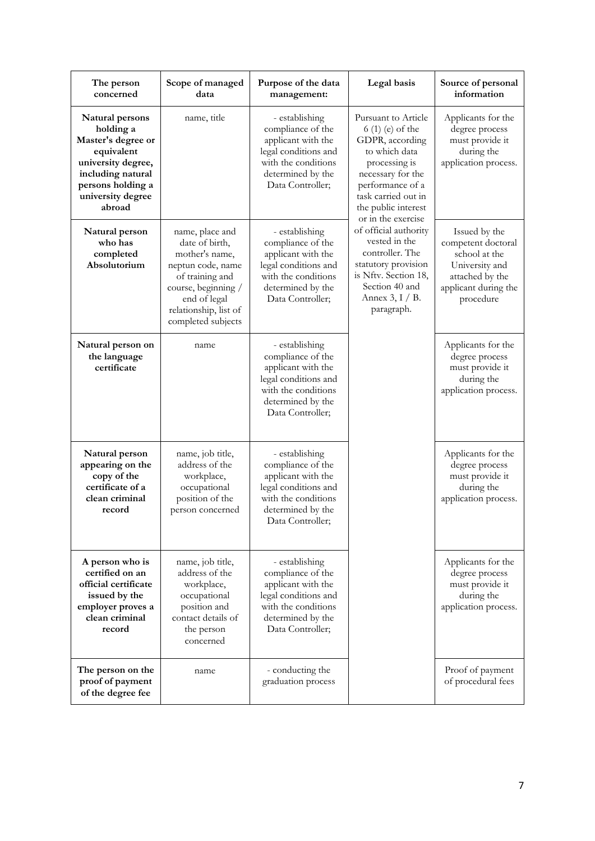| The person<br>concerned                                                                                                                                         | Scope of managed<br>data                                                                                                                                                          | Purpose of the data<br>management:                                                                                                                | Legal basis                                                                                                                                                                                                                                                                                                                                                                 | Source of personal<br>information                                                                                              |
|-----------------------------------------------------------------------------------------------------------------------------------------------------------------|-----------------------------------------------------------------------------------------------------------------------------------------------------------------------------------|---------------------------------------------------------------------------------------------------------------------------------------------------|-----------------------------------------------------------------------------------------------------------------------------------------------------------------------------------------------------------------------------------------------------------------------------------------------------------------------------------------------------------------------------|--------------------------------------------------------------------------------------------------------------------------------|
| Natural persons<br>holding a<br>Master's degree or<br>equivalent<br>university degree,<br>including natural<br>persons holding a<br>university degree<br>abroad | name, title                                                                                                                                                                       | - establishing<br>compliance of the<br>applicant with the<br>legal conditions and<br>with the conditions<br>determined by the<br>Data Controller; | Pursuant to Article<br>6 (1) (e) of the<br>GDPR, according<br>to which data<br>processing is<br>necessary for the<br>performance of a<br>task carried out in<br>the public interest<br>or in the exercise<br>of official authority<br>vested in the<br>controller. The<br>statutory provision<br>is Nftv. Section 18,<br>Section 40 and<br>Annex $3, I / B$ .<br>paragraph. | Applicants for the<br>degree process<br>must provide it<br>during the<br>application process.                                  |
| Natural person<br>who has<br>completed<br>Absolutorium                                                                                                          | name, place and<br>date of birth,<br>mother's name,<br>neptun code, name<br>of training and<br>course, beginning /<br>end of legal<br>relationship, list of<br>completed subjects | - establishing<br>compliance of the<br>applicant with the<br>legal conditions and<br>with the conditions<br>determined by the<br>Data Controller; |                                                                                                                                                                                                                                                                                                                                                                             | Issued by the<br>competent doctoral<br>school at the<br>University and<br>attached by the<br>applicant during the<br>procedure |
| Natural person on<br>the language<br>certificate                                                                                                                | name                                                                                                                                                                              | - establishing<br>compliance of the<br>applicant with the<br>legal conditions and<br>with the conditions<br>determined by the<br>Data Controller; |                                                                                                                                                                                                                                                                                                                                                                             | Applicants for the<br>degree process<br>must provide it<br>during the<br>application process.                                  |
| Natural person<br>appearing on the<br>copy of the<br>certificate of a<br>clean criminal<br>record                                                               | name, job title,<br>address of the<br>workplace,<br>occupational<br>position of the<br>person concerned                                                                           | - establishing<br>compliance of the<br>applicant with the<br>legal conditions and<br>with the conditions<br>determined by the<br>Data Controller; |                                                                                                                                                                                                                                                                                                                                                                             | Applicants for the<br>degree process<br>must provide it<br>during the<br>application process.                                  |
| A person who is<br>certified on an<br>official certificate<br>issued by the<br>employer proves a<br>clean criminal<br>record                                    | name, job title,<br>address of the<br>workplace,<br>occupational<br>position and<br>contact details of<br>the person<br>concerned                                                 | - establishing<br>compliance of the<br>applicant with the<br>legal conditions and<br>with the conditions<br>determined by the<br>Data Controller; |                                                                                                                                                                                                                                                                                                                                                                             | Applicants for the<br>degree process<br>must provide it<br>during the<br>application process.                                  |
| The person on the<br>proof of payment<br>of the degree fee                                                                                                      | name                                                                                                                                                                              | - conducting the<br>graduation process                                                                                                            |                                                                                                                                                                                                                                                                                                                                                                             | Proof of payment<br>of procedural fees                                                                                         |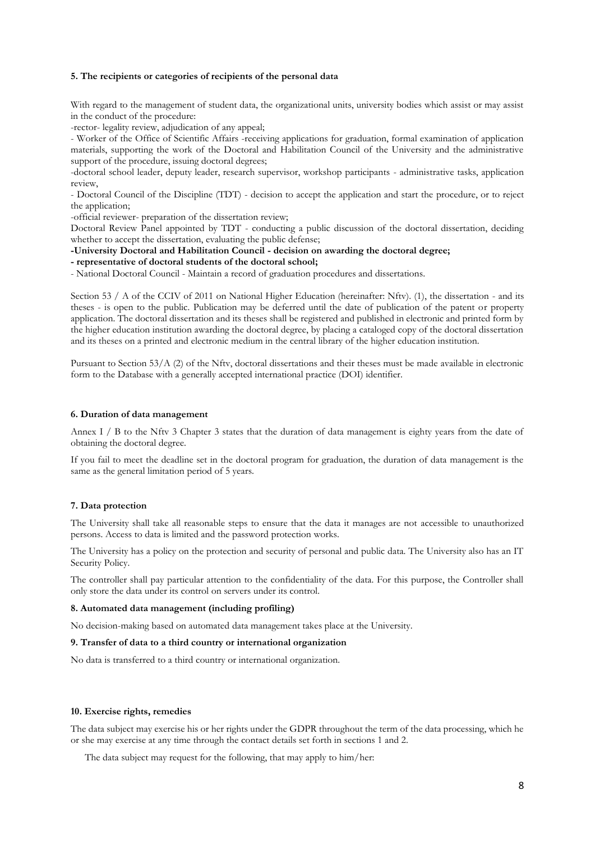### **5. The recipients or categories of recipients of the personal data**

With regard to the management of student data, the organizational units, university bodies which assist or may assist in the conduct of the procedure:

-rector- legality review, adjudication of any appeal;

- Worker of the Office of Scientific Affairs -receiving applications for graduation, formal examination of application materials, supporting the work of the Doctoral and Habilitation Council of the University and the administrative support of the procedure, issuing doctoral degrees;

-doctoral school leader, deputy leader, research supervisor, workshop participants - administrative tasks, application review,

- Doctoral Council of the Discipline (TDT) - decision to accept the application and start the procedure, or to reject the application;

-official reviewer- preparation of the dissertation review;

Doctoral Review Panel appointed by TDT - conducting a public discussion of the doctoral dissertation, deciding whether to accept the dissertation, evaluating the public defense;

# **-University Doctoral and Habilitation Council - decision on awarding the doctoral degree;**

**- representative of doctoral students of the doctoral school;**

- National Doctoral Council - Maintain a record of graduation procedures and dissertations.

Section 53 / A of the CCIV of 2011 on National Higher Education (hereinafter: Nftv). (1), the dissertation - and its theses - is open to the public. Publication may be deferred until the date of publication of the patent or property application. The doctoral dissertation and its theses shall be registered and published in electronic and printed form by the higher education institution awarding the doctoral degree, by placing a cataloged copy of the doctoral dissertation and its theses on a printed and electronic medium in the central library of the higher education institution.

Pursuant to Section 53/A (2) of the Nftv, doctoral dissertations and their theses must be made available in electronic form to the Database with a generally accepted international practice (DOI) identifier.

#### **6. Duration of data management**

Annex I / B to the Nftv 3 Chapter 3 states that the duration of data management is eighty years from the date of obtaining the doctoral degree.

If you fail to meet the deadline set in the doctoral program for graduation, the duration of data management is the same as the general limitation period of 5 years.

### **7. Data protection**

The University shall take all reasonable steps to ensure that the data it manages are not accessible to unauthorized persons. Access to data is limited and the password protection works.

The University has a policy on the protection and security of personal and public data. The University also has an IT Security Policy.

The controller shall pay particular attention to the confidentiality of the data. For this purpose, the Controller shall only store the data under its control on servers under its control.

#### **8. Automated data management (including profiling)**

No decision-making based on automated data management takes place at the University.

#### **9. Transfer of data to a third country or international organization**

No data is transferred to a third country or international organization.

### **10. Exercise rights, remedies**

The data subject may exercise his or her rights under the GDPR throughout the term of the data processing, which he or she may exercise at any time through the contact details set forth in sections 1 and 2.

The data subject may request for the following, that may apply to him/her: